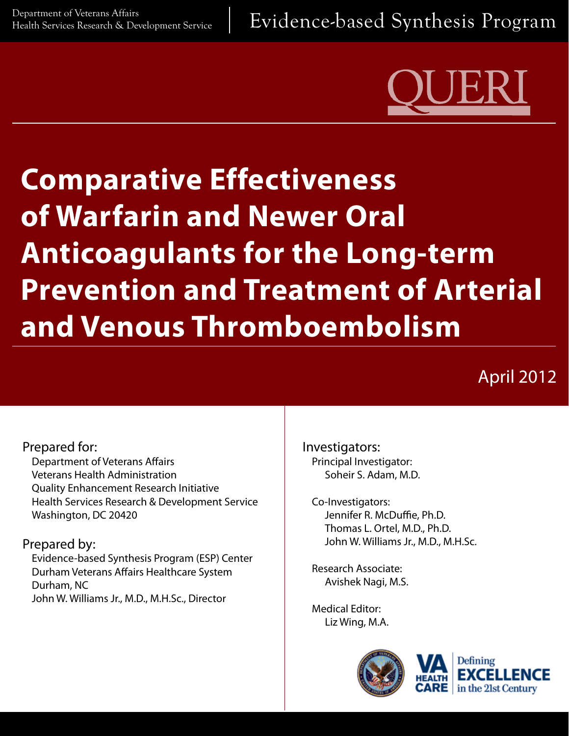

# **of Warfarin and Newer Oral Anticoagulants for the Long-term Comparative Effectiveness Prevention and Treatment of Arterial and Venous Thromboembolism**

April 2012

#### Prepared for:

Department of Veterans Affairs Veterans Health Administration Quality Enhancement Research Initiative Health Services Research & Development Service Washington, DC 20420

# Prepared by:

Evidence-based Synthesis Program (ESP) Center Durham Veterans Affairs Healthcare System Durham, NC John W. Williams Jr., M.D., M.H.Sc., Director

Investigators: Principal Investigator: Soheir S. Adam, M.D.

Co-Investigators: Jennifer R. McDuffie, Ph.D. Thomas L. Ortel, M.D., Ph.D. John W. Williams Jr., M.D., M.H.Sc.

Research Associate: Avishek Nagi, M.S.

Medical Editor: Liz Wing, M.A.

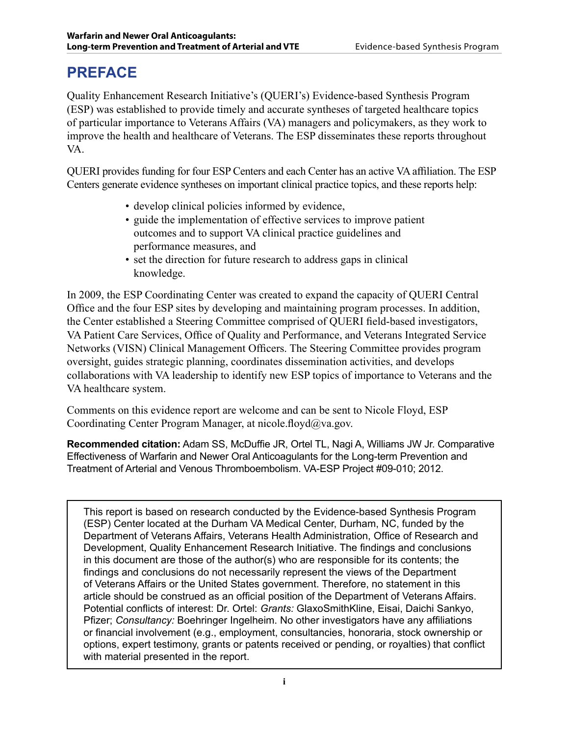## **PREFACE**

Quality Enhancement Research Initiative's (QUERI's) Evidence-based Synthesis Program (ESP) was established to provide timely and accurate syntheses of targeted healthcare topics of particular importance to Veterans Affairs (VA) managers and policymakers, as they work to improve the health and healthcare of Veterans. The ESP disseminates these reports throughout VA.

QUERI provides funding for four ESP Centers and each Center has an active VA affiliation. The ESP Centers generate evidence syntheses on important clinical practice topics, and these reports help:

- develop clinical policies informed by evidence,
- guide the implementation of effective services to improve patient outcomes and to support VA clinical practice guidelines and performance measures, and
- set the direction for future research to address gaps in clinical knowledge.

In 2009, the ESP Coordinating Center was created to expand the capacity of QUERI Central Office and the four ESP sites by developing and maintaining program processes. In addition, the Center established a Steering Committee comprised of QUERI field-based investigators, VA Patient Care Services, Office of Quality and Performance, and Veterans Integrated Service Networks (VISN) Clinical Management Officers. The Steering Committee provides program oversight, guides strategic planning, coordinates dissemination activities, and develops collaborations with VA leadership to identify new ESP topics of importance to Veterans and the VA healthcare system.

Comments on this evidence report are welcome and can be sent to Nicole Floyd, ESP Coordinating Center Program Manager, at nicole.floyd@va.gov.

 **Recommended citation:** Adam SS, McDuffie JR, Ortel TL, Nagi A, Williams JW Jr. Comparative Effectiveness of Warfarin and Newer Oral Anticoagulants for the Long-term Prevention and Treatment of Arterial and Venous Thromboembolism. VA-ESP Project #09-010; 2012.

This report is based on research conducted by the Evidence-based Synthesis Program (ESP) Center located at the Durham VA Medical Center, Durham, NC, funded by the Department of Veterans Affairs, Veterans Health Administration, Office of Research and Development, Quality Enhancement Research Initiative. The findings and conclusions in this document are those of the author(s) who are responsible for its contents; the findings and conclusions do not necessarily represent the views of the Department of Veterans Affairs or the United States government. Therefore, no statement in this article should be construed as an official position of the Department of Veterans Affairs. Potential conflicts of interest: Dr. Ortel: *Grants:* GlaxoSmithKline, Eisai, Daichi Sankyo, Pfizer; *Consultancy:* Boehringer Ingelheim. No other investigators have any affiliations or financial involvement (e.g., employment, consultancies, honoraria, stock ownership or options, expert testimony, grants or patents received or pending, or royalties) that conflict with material presented in the report.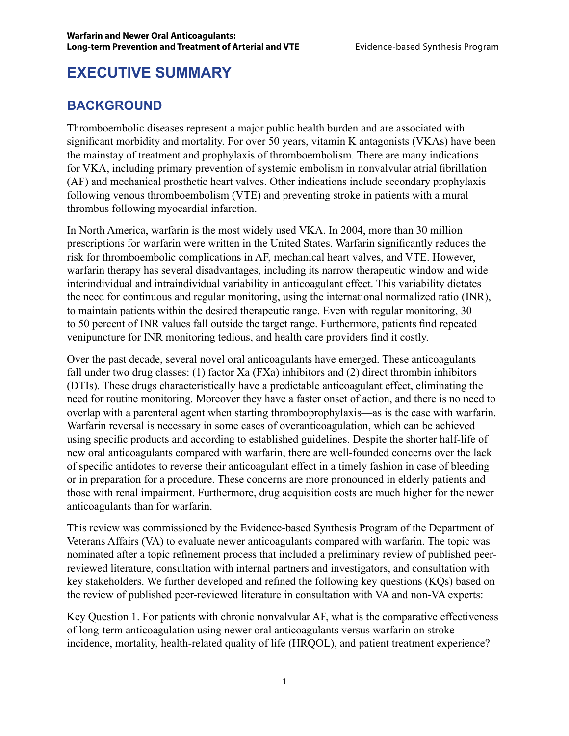## **EXECUTIVE SUMMARY**

#### **BACKGROUND**

Thromboembolic diseases represent a major public health burden and are associated with significant morbidity and mortality. For over 50 years, vitamin K antagonists (VKAs) have been the mainstay of treatment and prophylaxis of thromboembolism. There are many indications for VKA, including primary prevention of systemic embolism in nonvalvular atrial fibrillation (AF) and mechanical prosthetic heart valves. Other indications include secondary prophylaxis following venous thromboembolism (VTE) and preventing stroke in patients with a mural thrombus following myocardial infarction.

In North America, warfarin is the most widely used VKA. In 2004, more than 30 million prescriptions for warfarin were written in the United States. Warfarin significantly reduces the risk for thromboembolic complications in AF, mechanical heart valves, and VTE. However, warfarin therapy has several disadvantages, including its narrow therapeutic window and wide interindividual and intraindividual variability in anticoagulant effect. This variability dictates the need for continuous and regular monitoring, using the international normalized ratio (INR), to maintain patients within the desired therapeutic range. Even with regular monitoring, 30 to 50 percent of INR values fall outside the target range. Furthermore, patients find repeated venipuncture for INR monitoring tedious, and health care providers find it costly.

Over the past decade, several novel oral anticoagulants have emerged. These anticoagulants fall under two drug classes: (1) factor Xa (FXa) inhibitors and (2) direct thrombin inhibitors (DTIs). These drugs characteristically have a predictable anticoagulant effect, eliminating the need for routine monitoring. Moreover they have a faster onset of action, and there is no need to overlap with a parenteral agent when starting thromboprophylaxis—as is the case with warfarin. Warfarin reversal is necessary in some cases of overanticoagulation, which can be achieved using specific products and according to established guidelines. Despite the shorter half-life of new oral anticoagulants compared with warfarin, there are well-founded concerns over the lack of specific antidotes to reverse their anticoagulant effect in a timely fashion in case of bleeding or in preparation for a procedure. These concerns are more pronounced in elderly patients and those with renal impairment. Furthermore, drug acquisition costs are much higher for the newer anticoagulants than for warfarin.

This review was commissioned by the Evidence-based Synthesis Program of the Department of Veterans Affairs (VA) to evaluate newer anticoagulants compared with warfarin. The topic was nominated after a topic refinement process that included a preliminary review of published peerreviewed literature, consultation with internal partners and investigators, and consultation with key stakeholders. We further developed and refined the following key questions (KQs) based on the review of published peer-reviewed literature in consultation with VA and non-VA experts:

Key Question 1. For patients with chronic nonvalvular AF, what is the comparative effectiveness of long-term anticoagulation using newer oral anticoagulants versus warfarin on stroke incidence, mortality, health-related quality of life (HRQOL), and patient treatment experience?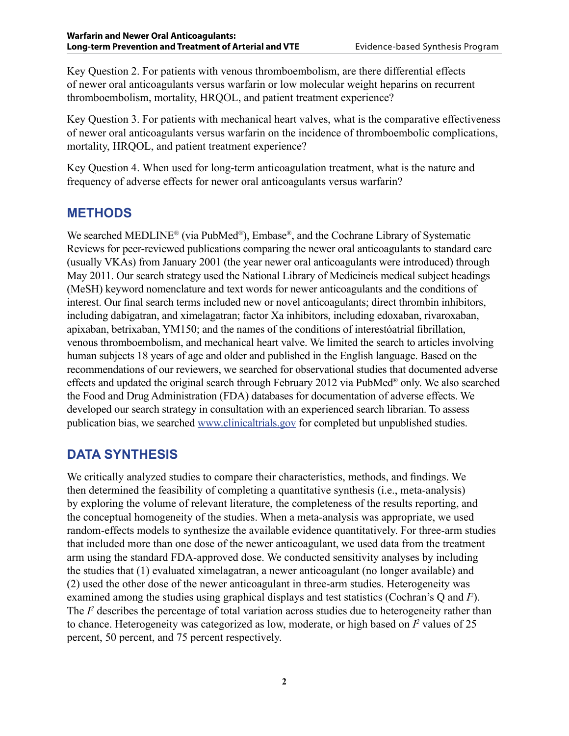Key Question 2. For patients with venous thromboembolism, are there differential effects of newer oral anticoagulants versus warfarin or low molecular weight heparins on recurrent thromboembolism, mortality, HRQOL, and patient treatment experience?

Key Question 3. For patients with mechanical heart valves, what is the comparative effectiveness of newer oral anticoagulants versus warfarin on the incidence of thromboembolic complications, mortality, HRQOL, and patient treatment experience?

Key Question 4. When used for long-term anticoagulation treatment, what is the nature and frequency of adverse effects for newer oral anticoagulants versus warfarin?

#### **METHODS**

We searched MEDLINE<sup>®</sup> (via PubMed<sup>®</sup>), Embase<sup>®</sup>, and the Cochrane Library of Systematic Reviews for peer-reviewed publications comparing the newer oral anticoagulants to standard care (usually VKAs) from January 2001 (the year newer oral anticoagulants were introduced) through May 2011. Our search strategy used the National Library of Medicineís medical subject headings (MeSH) keyword nomenclature and text words for newer anticoagulants and the conditions of including dabigatran, and ximelagatran; factor Xa inhibitors, including edoxaban, rivaroxaban, apixaban, betrixaban, YM150; and the names of the conditions of interestóatrial fibrillation, venous thromboembolism, and mechanical heart valve. We limited the search to articles involving human subjects 18 years of age and older and published in the English language. Based on the recommendations of our reviewers, we searched for observational studies that documented adverse effects and updated the original search through February 2012 via PubMed® only. We also searched the Food and Drug Administration (FDA) databases for documentation of adverse effects. We developed our search strategy in consultation with an experienced search librarian. To assess interest. Our final search terms included new or novel anticoagulants; direct thrombin inhibitors, publication bias, we searched www.clinicaltrials.gov for completed but unpublished studies.

#### **DATA SYNTHESIS**

We critically analyzed studies to compare their characteristics, methods, and findings. We then determined the feasibility of completing a quantitative synthesis (i.e., meta-analysis) by exploring the volume of relevant literature, the completeness of the results reporting, and the conceptual homogeneity of the studies. When a meta-analysis was appropriate, we used random-effects models to synthesize the available evidence quantitatively. For three-arm studies that included more than one dose of the newer anticoagulant, we used data from the treatment arm using the standard FDA-approved dose. We conducted sensitivity analyses by including the studies that (1) evaluated ximelagatran, a newer anticoagulant (no longer available) and (2) used the other dose of the newer anticoagulant in three-arm studies. Heterogeneity was examined among the studies using graphical displays and test statistics (Cochran's Q and *I2* ). The *I*<sup>2</sup> describes the percentage of total variation across studies due to heterogeneity rather than to chance. Heterogeneity was categorized as low, moderate, or high based on  $I<sup>2</sup>$  values of 25 percent, 50 percent, and 75 percent respectively.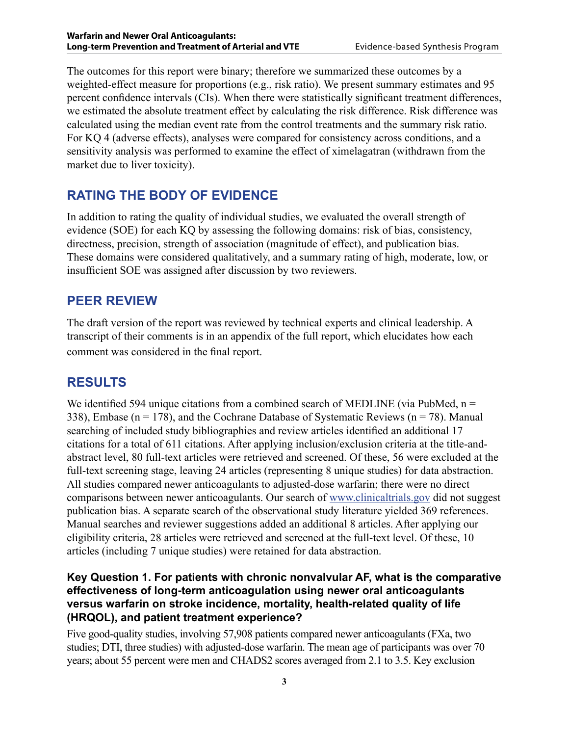The outcomes for this report were binary; therefore we summarized these outcomes by a weighted-effect measure for proportions (e.g., risk ratio). We present summary estimates and 95 percent confidence intervals (CIs). When there were statistically significant treatment differences, we estimated the absolute treatment effect by calculating the risk difference. Risk difference was calculated using the median event rate from the control treatments and the summary risk ratio. For KQ 4 (adverse effects), analyses were compared for consistency across conditions, and a sensitivity analysis was performed to examine the effect of ximelagatran (withdrawn from the market due to liver toxicity).

## **RATING THE BODY OF EVIDENCE**

In addition to rating the quality of individual studies, we evaluated the overall strength of evidence (SOE) for each KQ by assessing the following domains: risk of bias, consistency, directness, precision, strength of association (magnitude of effect), and publication bias. These domains were considered qualitatively, and a summary rating of high, moderate, low, or insufficient SOE was assigned after discussion by two reviewers.

## **PEER REVIEW**

The draft version of the report was reviewed by technical experts and clinical leadership. A transcript of their comments is in an appendix of the full report, which elucidates how each comment was considered in the final report.

## **RESULTS**

We identified 594 unique citations from a combined search of MEDLINE (via PubMed,  $n =$ 338), Embase ( $n = 178$ ), and the Cochrane Database of Systematic Reviews ( $n = 78$ ). Manual searching of included study bibliographies and review articles identified an additional 17 citations for a total of 611 citations. After applying inclusion/exclusion criteria at the title-andabstract level, 80 full-text articles were retrieved and screened. Of these, 56 were excluded at the full-text screening stage, leaving 24 articles (representing 8 unique studies) for data abstraction. All studies compared newer anticoagulants to adjusted-dose warfarin; there were no direct comparisons between newer anticoagulants. Our search of www.clinicaltrials.gov did not suggest publication bias. A separate search of the observational study literature yielded 369 references. Manual searches and reviewer suggestions added an additional 8 articles. After applying our eligibility criteria, 28 articles were retrieved and screened at the full-text level. Of these, 10 articles (including 7 unique studies) were retained for data abstraction.

#### **Key Question 1. For patients with chronic nonvalvular AF, what is the comparative effectiveness of long-term anticoagulation using newer oral anticoagulants versus warfarin on stroke incidence, mortality, health-related quality of life (HRQOL), and patient treatment experience?**

 Five good-quality studies, involving 57,908 patients compared newer anticoagulants (FXa, two studies; DTI, three studies) with adjusted-dose warfarin. The mean age of participants was over 70 years; about 55 percent were men and CHADS2 scores averaged from 2.1 to 3.5. Key exclusion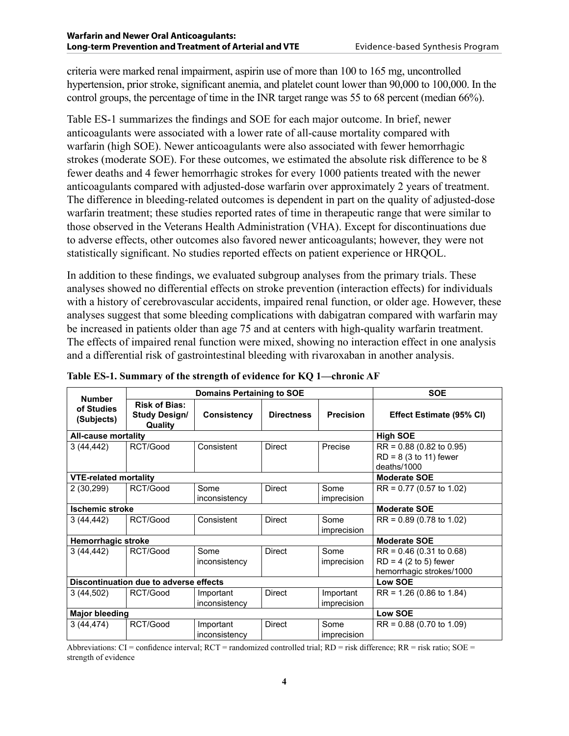criteria were marked renal impairment, aspirin use of more than 100 to 165 mg, uncontrolled hypertension, prior stroke, significant anemia, and platelet count lower than 90,000 to 100,000. In the control groups, the percentage of time in the INR target range was 55 to 68 percent (median 66%).

Table ES-1 summarizes the findings and SOE for each major outcome. In brief, newer anticoagulants were associated with a lower rate of all-cause mortality compared with warfarin (high SOE). Newer anticoagulants were also associated with fewer hemorrhagic strokes (moderate SOE). For these outcomes, we estimated the absolute risk difference to be 8 fewer deaths and 4 fewer hemorrhagic strokes for every 1000 patients treated with the newer anticoagulants compared with adjusted-dose warfarin over approximately 2 years of treatment. The difference in bleeding-related outcomes is dependent in part on the quality of adjusted-dose warfarin treatment; these studies reported rates of time in therapeutic range that were similar to those observed in the Veterans Health Administration (VHA). Except for discontinuations due to adverse effects, other outcomes also favored newer anticoagulants; however, they were not statistically significant. No studies reported effects on patient experience or HRQOL.

In addition to these findings, we evaluated subgroup analyses from the primary trials. These analyses showed no differential effects on stroke prevention (interaction effects) for individuals with a history of cerebrovascular accidents, impaired renal function, or older age. However, these analyses suggest that some bleeding complications with dabigatran compared with warfarin may be increased in patients older than age 75 and at centers with high-quality warfarin treatment. The effects of impaired renal function were mixed, showing no interaction effect in one analysis and a differential risk of gastrointestinal bleeding with rivaroxaban in another analysis.

|                                           |                                                         | <b>Domains Pertaining to SOE</b> | <b>SOE</b>        |                          |                                                                                   |
|-------------------------------------------|---------------------------------------------------------|----------------------------------|-------------------|--------------------------|-----------------------------------------------------------------------------------|
| <b>Number</b><br>of Studies<br>(Subjects) | <b>Risk of Bias:</b><br><b>Study Design/</b><br>Quality | <b>Consistency</b>               | <b>Directness</b> | <b>Precision</b>         | Effect Estimate (95% CI)                                                          |
| <b>All-cause mortality</b>                |                                                         |                                  |                   |                          | <b>High SOE</b>                                                                   |
| 3(44, 442)                                | RCT/Good                                                | Consistent                       | <b>Direct</b>     | Precise                  | $RR = 0.88$ (0.82 to 0.95)<br>$RD = 8$ (3 to 11) fewer<br>deaths/1000             |
| <b>VTE-related mortality</b>              |                                                         |                                  |                   | <b>Moderate SOE</b>      |                                                                                   |
| 2 (30,299)                                | RCT/Good                                                | Some<br>inconsistency            | <b>Direct</b>     | Some<br>imprecision      | $RR = 0.77$ (0.57 to 1.02)                                                        |
| <b>Ischemic stroke</b>                    |                                                         |                                  |                   | <b>Moderate SOE</b>      |                                                                                   |
| 3(44, 442)                                | RCT/Good                                                | Consistent                       | <b>Direct</b>     | Some<br>imprecision      | $RR = 0.89$ (0.78 to 1.02)                                                        |
| <b>Hemorrhagic stroke</b>                 |                                                         |                                  |                   | <b>Moderate SOE</b>      |                                                                                   |
| 3(44, 442)                                | RCT/Good                                                | Some<br>inconsistency            | <b>Direct</b>     | Some<br>imprecision      | $RR = 0.46 (0.31 to 0.68)$<br>$RD = 4$ (2 to 5) fewer<br>hemorrhagic strokes/1000 |
| Discontinuation due to adverse effects    |                                                         |                                  |                   | Low SOE                  |                                                                                   |
| 3(44,502)                                 | RCT/Good                                                | Important<br>inconsistency       | <b>Direct</b>     | Important<br>imprecision | $RR = 1.26 (0.86 to 1.84)$                                                        |
| <b>Major bleeding</b>                     |                                                         |                                  |                   | <b>Low SOE</b>           |                                                                                   |
| 3(44, 474)                                | RCT/Good                                                | Important<br>inconsistency       | <b>Direct</b>     | Some<br>imprecision      | $RR = 0.88$ (0.70 to 1.09)                                                        |

**Table ES-1. Summary of the strength of evidence for KQ 1—chronic AF** 

Abbreviations: CI = confidence interval;  $RCT$  = randomized controlled trial;  $RD$  = risk difference;  $RR$  = risk ratio;  $SOE$  = strength of evidence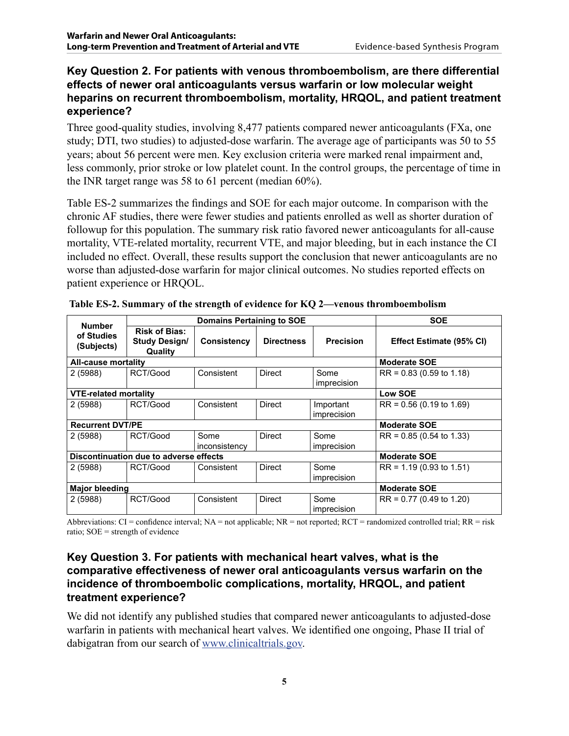#### **Key Question 2. For patients with venous thromboembolism, are there differential effects of newer oral anticoagulants versus warfarin or low molecular weight heparins on recurrent thromboembolism, mortality, HRQOL, and patient treatment experience?**

Three good-quality studies, involving 8,477 patients compared newer anticoagulants (FXa, one study; DTI, two studies) to adjusted-dose warfarin. The average age of participants was 50 to 55 years; about 56 percent were men. Key exclusion criteria were marked renal impairment and, less commonly, prior stroke or low platelet count. In the control groups, the percentage of time in the INR target range was 58 to 61 percent (median 60%).

Table ES-2 summarizes the findings and SOE for each major outcome. In comparison with the chronic AF studies, there were fewer studies and patients enrolled as well as shorter duration of followup for this population. The summary risk ratio favored newer anticoagulants for all-cause mortality, VTE-related mortality, recurrent VTE, and major bleeding, but in each instance the CI included no effect. Overall, these results support the conclusion that newer anticoagulants are no worse than adjusted-dose warfarin for major clinical outcomes. No studies reported effects on patient experience or HRQOL.

|                                           | <b>Domains Pertaining to SOE</b>                        |                       |                   | <b>SOE</b>               |                            |
|-------------------------------------------|---------------------------------------------------------|-----------------------|-------------------|--------------------------|----------------------------|
| <b>Number</b><br>of Studies<br>(Subjects) | <b>Risk of Bias:</b><br><b>Study Design/</b><br>Quality | <b>Consistency</b>    | <b>Directness</b> | <b>Precision</b>         | Effect Estimate (95% CI)   |
| <b>All-cause mortality</b>                |                                                         |                       |                   |                          | <b>Moderate SOE</b>        |
| 2 (5988)                                  | RCT/Good                                                | Consistent            | Direct            | Some<br>imprecision      | $RR = 0.83$ (0.59 to 1.18) |
| <b>VTE-related mortality</b>              |                                                         |                       |                   | Low SOE                  |                            |
| 2 (5988)                                  | RCT/Good                                                | Consistent            | Direct            | Important<br>imprecision | $RR = 0.56 (0.19 to 1.69)$ |
| <b>Recurrent DVT/PE</b>                   |                                                         |                       |                   | <b>Moderate SOE</b>      |                            |
| 2 (5988)                                  | RCT/Good                                                | Some<br>inconsistency | <b>Direct</b>     | Some<br>imprecision      | $RR = 0.85 (0.54 to 1.33)$ |
| Discontinuation due to adverse effects    |                                                         |                       |                   | <b>Moderate SOE</b>      |                            |
| 2 (5988)                                  | RCT/Good                                                | Consistent            | Direct            | Some<br>imprecision      | $RR = 1.19$ (0.93 to 1.51) |
| <b>Major bleeding</b>                     |                                                         |                       |                   | <b>Moderate SOE</b>      |                            |
| 2 (5988)                                  | RCT/Good                                                | Consistent            | Direct            | Some<br>imprecision      | $RR = 0.77$ (0.49 to 1.20) |

|  |  | Table ES-2. Summary of the strength of evidence for KQ 2-venous thromboembolism |
|--|--|---------------------------------------------------------------------------------|
|  |  |                                                                                 |

Abbreviations:  $CI =$  confidence interval;  $NA =$  not applicable;  $NR =$  not reported;  $RCT =$  randomized controlled trial;  $RR =$  risk ratio; SOE = strength of evidence

#### **Key Question 3. For patients with mechanical heart valves, what is the comparative effectiveness of newer oral anticoagulants versus warfarin on the incidence of thromboembolic complications, mortality, HRQOL, and patient treatment experience?**

We did not identify any published studies that compared newer anticoagulants to adjusted-dose warfarin in patients with mechanical heart valves. We identified one ongoing, Phase II trial of dabigatran from our search of www.clinicaltrials.gov.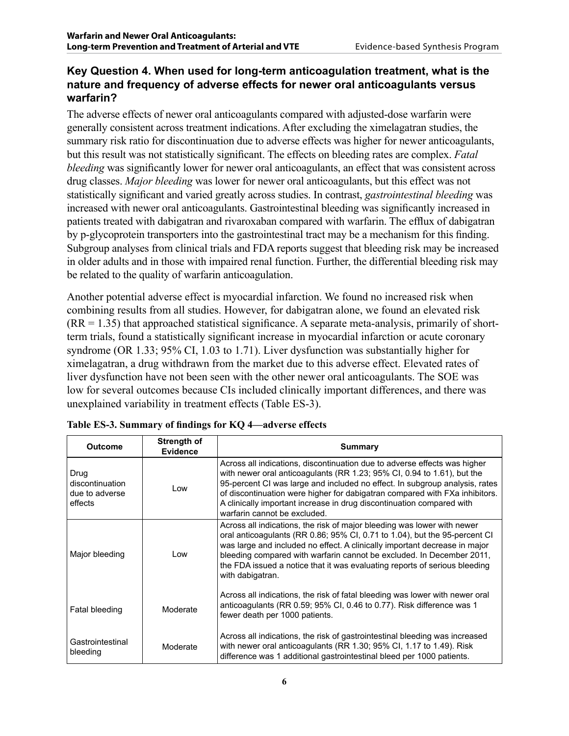#### **Key Question 4. When used for long-term anticoagulation treatment, what is the nature and frequency of adverse effects for newer oral anticoagulants versus warfarin?**

 The adverse effects of newer oral anticoagulants compared with adjusted-dose warfarin were generally consistent across treatment indications. After excluding the ximelagatran studies, the summary risk ratio for discontinuation due to adverse effects was higher for newer anticoagulants, drug classes. *Major bleeding* was lower for newer oral anticoagulants, but this effect was not patients treated with dabigatran and rivaroxaban compared with warfarin. The efflux of dabigatran by p-glycoprotein transporters into the gastrointestinal tract may be a mechanism for this finding. Subgroup analyses from clinical trials and FDA reports suggest that bleeding risk may be increased in older adults and in those with impaired renal function. Further, the differential bleeding risk may be related to the quality of warfarin anticoagulation. but this result was not statistically significant. The effects on bleeding rates are complex. *Fatal bleeding* was significantly lower for newer oral anticoagulants, an effect that was consistent across statistically significant and varied greatly across studies. In contrast, *gastrointestinal bleeding* was increased with newer oral anticoagulants. Gastrointestinal bleeding was significantly increased in

Another potential adverse effect is myocardial infarction. We found no increased risk when combining results from all studies. However, for dabigatran alone, we found an elevated risk  $(RR = 1.35)$  that approached statistical significance. A separate meta-analysis, primarily of shortterm trials, found a statistically significant increase in myocardial infarction or acute coronary syndrome (OR 1.33; 95% CI, 1.03 to 1.71). Liver dysfunction was substantially higher for ximelagatran, a drug withdrawn from the market due to this adverse effect. Elevated rates of liver dysfunction have not been seen with the other newer oral anticoagulants. The SOE was low for several outcomes because CIs included clinically important differences, and there was unexplained variability in treatment effects (Table ES-3).

| <b>Outcome</b>                                       | Strength of<br><b>Evidence</b> | Summary                                                                                                                                                                                                                                                                                                                                                                                                                     |
|------------------------------------------------------|--------------------------------|-----------------------------------------------------------------------------------------------------------------------------------------------------------------------------------------------------------------------------------------------------------------------------------------------------------------------------------------------------------------------------------------------------------------------------|
| Drug<br>discontinuation<br>due to adverse<br>effects | l ow                           | Across all indications, discontinuation due to adverse effects was higher<br>with newer oral anticoagulants (RR 1.23; 95% CI, 0.94 to 1.61), but the<br>95-percent CI was large and included no effect. In subgroup analysis, rates<br>of discontinuation were higher for dabigatran compared with FXa inhibitors.<br>A clinically important increase in drug discontinuation compared with<br>warfarin cannot be excluded. |
| Major bleeding                                       | Low                            | Across all indications, the risk of major bleeding was lower with newer<br>oral anticoagulants (RR 0.86; 95% CI, 0.71 to 1.04), but the 95-percent CI<br>was large and included no effect. A clinically important decrease in major<br>bleeding compared with warfarin cannot be excluded. In December 2011,<br>the FDA issued a notice that it was evaluating reports of serious bleeding<br>with dabigatran.              |
| Fatal bleeding                                       | Moderate                       | Across all indications, the risk of fatal bleeding was lower with newer oral<br>anticoaquiants (RR 0.59; 95% CI, 0.46 to 0.77). Risk difference was 1<br>fewer death per 1000 patients.                                                                                                                                                                                                                                     |
| Gastrointestinal<br>bleeding                         | Moderate                       | Across all indications, the risk of gastrointestinal bleeding was increased<br>with newer oral anticoagulants (RR 1.30; 95% CI, 1.17 to 1.49). Risk<br>difference was 1 additional gastrointestinal bleed per 1000 patients.                                                                                                                                                                                                |

**Table ES-3. Summary of findings for KQ 4—adverse effects**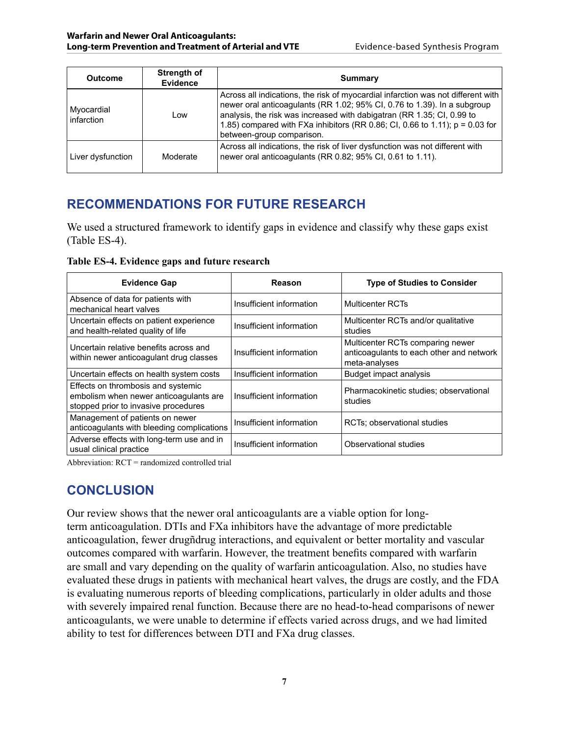| <b>Outcome</b>           | <b>Strength of</b><br><b>Evidence</b> | <b>Summary</b>                                                                                                                                                                                                                                                                                                                                        |
|--------------------------|---------------------------------------|-------------------------------------------------------------------------------------------------------------------------------------------------------------------------------------------------------------------------------------------------------------------------------------------------------------------------------------------------------|
| Myocardial<br>infarction | l ow                                  | Across all indications, the risk of myocardial infarction was not different with<br>newer oral anticoagulants (RR 1.02; 95% CI, 0.76 to 1.39). In a subgroup<br>analysis, the risk was increased with dabigatran (RR 1.35; CI, 0.99 to<br>1.85) compared with FXa inhibitors (RR 0.86; CI, 0.66 to 1.11); $p = 0.03$ for<br>between-group comparison. |
| Liver dysfunction        | Moderate                              | Across all indications, the risk of liver dysfunction was not different with<br>newer oral anticoagulants (RR 0.82; 95% CI, 0.61 to 1.11).                                                                                                                                                                                                            |

## **RECOMMENDATIONS FOR FUTURE RESEARCH**

We used a structured framework to identify gaps in evidence and classify why these gaps exist (Table ES-4).

**Table ES-4. Evidence gaps and future research** 

| <b>Evidence Gap</b>                                                                                                  | Reason                   | <b>Type of Studies to Consider</b>                                                            |
|----------------------------------------------------------------------------------------------------------------------|--------------------------|-----------------------------------------------------------------------------------------------|
| Absence of data for patients with<br>mechanical heart valves                                                         | Insufficient information | Multicenter RCTs                                                                              |
| Uncertain effects on patient experience<br>and health-related quality of life                                        | Insufficient information | Multicenter RCTs and/or qualitative<br>studies                                                |
| Uncertain relative benefits across and<br>within newer anticoagulant drug classes                                    | Insufficient information | Multicenter RCTs comparing newer<br>anticoagulants to each other and network<br>meta-analyses |
| Uncertain effects on health system costs                                                                             | Insufficient information | Budget impact analysis                                                                        |
| Effects on thrombosis and systemic<br>embolism when newer anticoagulants are<br>stopped prior to invasive procedures | Insufficient information | Pharmacokinetic studies; observational<br>studies                                             |
| Management of patients on newer<br>anticoagulants with bleeding complications                                        | Insufficient information | RCTs: observational studies                                                                   |
| Adverse effects with long-term use and in<br>usual clinical practice                                                 | Insufficient information | Observational studies                                                                         |

Abbreviation: RCT = randomized controlled trial

## **CONCLUSION**

Our review shows that the newer oral anticoagulants are a viable option for longterm anticoagulation. DTIs and FXa inhibitors have the advantage of more predictable anticoagulation, fewer drugñdrug interactions, and equivalent or better mortality and vascular outcomes compared with warfarin. However, the treatment benefits compared with warfarin are small and vary depending on the quality of warfarin anticoagulation. Also, no studies have evaluated these drugs in patients with mechanical heart valves, the drugs are costly, and the FDA is evaluating numerous reports of bleeding complications, particularly in older adults and those with severely impaired renal function. Because there are no head-to-head comparisons of newer anticoagulants, we were unable to determine if effects varied across drugs, and we had limited ability to test for differences between DTI and FXa drug classes.